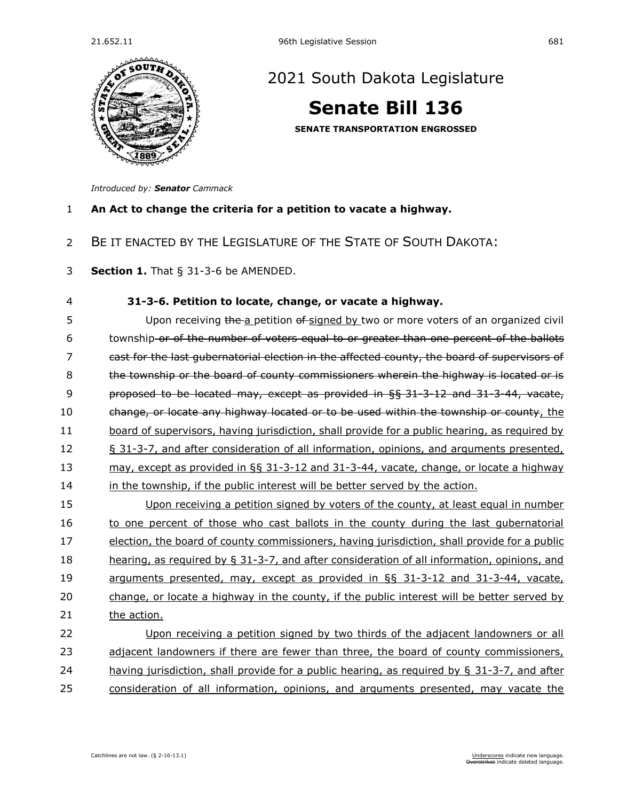

## [2021 South Dakota Legislature](https://sdlegislature.gov/Session/Bills/44)

## **[Senate Bill 136](https://sdlegislature.gov/Session/Bill/22372)**

**SENATE TRANSPORTATION ENGROSSED**

*Introduced by: Senator [Cammack](https://sdlegislature.gov/Legislators/Profile/1775/Detail)*

**An Act to change the criteria for a petition to vacate a highway.**

- BE IT ENACTED BY THE LEGISLATURE OF THE STATE OF SOUTH DAKOTA:
- **Section 1.** [That § 31-3-6 be AMENDED.](https://sdlegislature.gov/Statutes/Codified_Laws/2052553)

 **[31-3-6. P](https://sdlegislature.gov/Statutes/Codified_Laws/DisplayStatute.aspx?Type=Statute&Statute=31-3-6)etition to locate, change, or vacate a highway.**  5 Upon receiving the a petition of signed by two or more voters of an organized civil township or of the number of voters equal to or greater than one percent of the ballots cast for the last gubernatorial election in the affected county, the board of supervisors of the township or the board of county commissioners wherein the highway is located or is proposed to be located may, except as provided in §§ [31-3-12](https://sdlegislature.gov/Statutes/Codified_Laws/DisplayStatute.aspx?Type=Statute&Statute=31-3-12) and [31-3-44,](https://sdlegislature.gov/Statutes/Codified_Laws/DisplayStatute.aspx?Type=Statute&Statute=31-3-44) vacate, 10 change, or locate any highway located or to be used within the township or county, the board of supervisors, having jurisdiction, shall provide for a public hearing, as required by § [31-3-7,](https://sdlegislature.gov/Statutes/Codified_Laws/DisplayStatute.aspx?Type=Statute&Statute=31-3-7) and after consideration of all information, opinions, and arguments presented, may, except as provided in §§ [31-3-12](https://sdlegislature.gov/Statutes/Codified_Laws/DisplayStatute.aspx?Type=Statute&Statute=31-3-12) and [31-3-44,](https://sdlegislature.gov/Statutes/Codified_Laws/DisplayStatute.aspx?Type=Statute&Statute=31-3-44) vacate, change, or locate a highway 14 in the township, if the public interest will be better served by the action. Upon receiving a petition signed by voters of the county, at least equal in number 16 to one percent of those who cast ballots in the county during the last gubernatorial election, the board of county commissioners, having jurisdiction, shall provide for a public hearing, as required by § [31-3-7,](https://sdlegislature.gov/Statutes/Codified_Laws/DisplayStatute.aspx?Type=Statute&Statute=31-3-7) and after consideration of all information, opinions, and arguments presented, may, except as provided in §§ [31-3-12](https://sdlegislature.gov/Statutes/Codified_Laws/DisplayStatute.aspx?Type=Statute&Statute=31-3-12) and [31-3-44,](https://sdlegislature.gov/Statutes/Codified_Laws/DisplayStatute.aspx?Type=Statute&Statute=31-3-44) vacate, change, or locate a highway in the county, if the public interest will be better served by the action. Upon receiving a petition signed by two thirds of the adjacent landowners or all 23 adjacent landowners if there are fewer than three, the board of county commissioners, having jurisdiction, shall provide for a public hearing, as required by § [31-3-7,](https://sdlegislature.gov/Statutes/Codified_Laws/DisplayStatute.aspx?Type=Statute&Statute=31-3-7) and after consideration of all information, opinions, and arguments presented, may vacate the